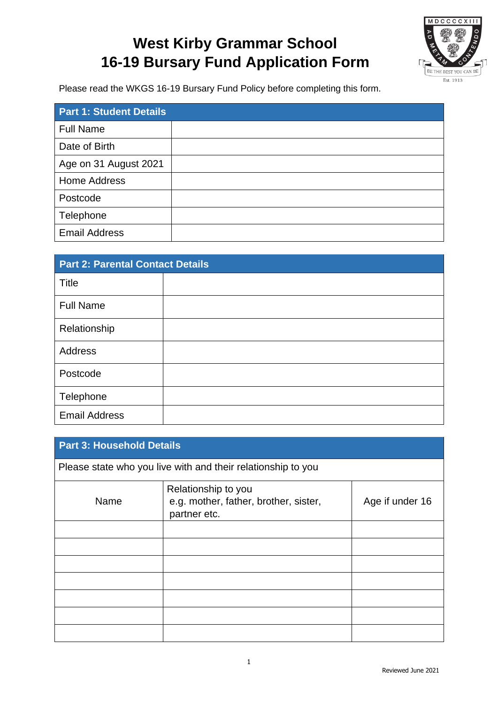

Please read the WKGS 16-19 Bursary Fund Policy before completing this form.

| <b>Part 1: Student Details</b> |  |
|--------------------------------|--|
| <b>Full Name</b>               |  |
| Date of Birth                  |  |
| Age on 31 August 2021          |  |
| <b>Home Address</b>            |  |
| Postcode                       |  |
| Telephone                      |  |
| <b>Email Address</b>           |  |

| <b>Part 2: Parental Contact Details</b> |  |  |  |
|-----------------------------------------|--|--|--|
| Title                                   |  |  |  |
| <b>Full Name</b>                        |  |  |  |
| Relationship                            |  |  |  |
| Address                                 |  |  |  |
| Postcode                                |  |  |  |
| Telephone                               |  |  |  |
| <b>Email Address</b>                    |  |  |  |

| <b>Part 3: Household Details</b> |                                                                              |                 |  |
|----------------------------------|------------------------------------------------------------------------------|-----------------|--|
|                                  | Please state who you live with and their relationship to you                 |                 |  |
| Name                             | Relationship to you<br>e.g. mother, father, brother, sister,<br>partner etc. | Age if under 16 |  |
|                                  |                                                                              |                 |  |
|                                  |                                                                              |                 |  |
|                                  |                                                                              |                 |  |
|                                  |                                                                              |                 |  |
|                                  |                                                                              |                 |  |
|                                  |                                                                              |                 |  |
|                                  |                                                                              |                 |  |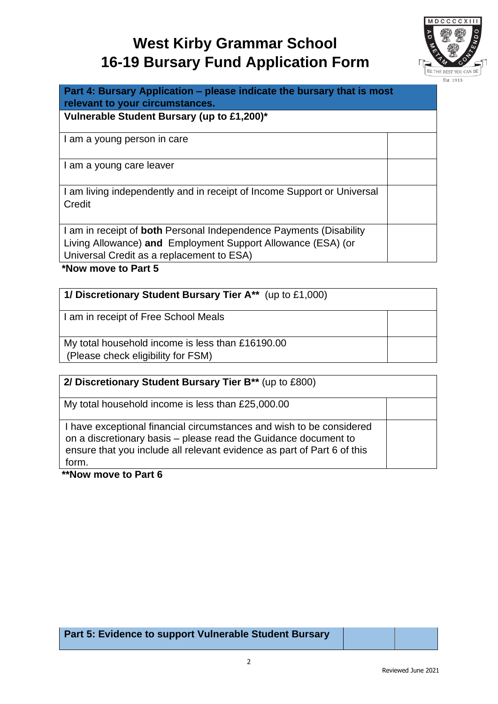

**Part 4: Bursary Application – please indicate the bursary that is most relevant to your circumstances.** 

**Vulnerable Student Bursary (up to £1,200)\***

I am a young person in care

I am a young care leaver

I am living independently and in receipt of Income Support or Universal **Credit** 

I am in receipt of **both** Personal Independence Payments (Disability Living Allowance) **and** Employment Support Allowance (ESA) (or Universal Credit as a replacement to ESA)

**\*Now move to Part 5**

| 1/ Discretionary Student Bursary Tier A** (up to £1,000)                               |  |  |
|----------------------------------------------------------------------------------------|--|--|
| I am in receipt of Free School Meals                                                   |  |  |
| My total household income is less than £16190.00<br>(Please check eligibility for FSM) |  |  |

| 2/ Discretionary Student Bursary Tier B** (up to £800)                                                                                                                                                                      |  |
|-----------------------------------------------------------------------------------------------------------------------------------------------------------------------------------------------------------------------------|--|
| My total household income is less than £25,000.00                                                                                                                                                                           |  |
| I have exceptional financial circumstances and wish to be considered<br>on a discretionary basis - please read the Guidance document to<br>ensure that you include all relevant evidence as part of Part 6 of this<br>form. |  |

**\*\*Now move to Part 6**

**Part 5: Evidence to support Vulnerable Student Bursary**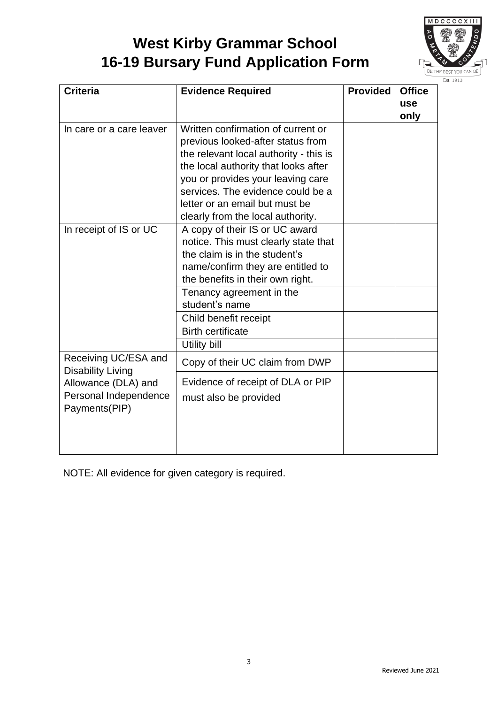

| <b>Criteria</b>                                                                                                   | <b>Evidence Required</b>                                                                                                                                                                                                                                                                                   | <b>Provided</b> | <b>Office</b><br><b>use</b><br>only |
|-------------------------------------------------------------------------------------------------------------------|------------------------------------------------------------------------------------------------------------------------------------------------------------------------------------------------------------------------------------------------------------------------------------------------------------|-----------------|-------------------------------------|
| In care or a care leaver                                                                                          | Written confirmation of current or<br>previous looked-after status from<br>the relevant local authority - this is<br>the local authority that looks after<br>you or provides your leaving care<br>services. The evidence could be a<br>letter or an email but must be<br>clearly from the local authority. |                 |                                     |
| In receipt of IS or UC                                                                                            | A copy of their IS or UC award<br>notice. This must clearly state that<br>the claim is in the student's<br>name/confirm they are entitled to<br>the benefits in their own right.<br>Tenancy agreement in the<br>student's name<br>Child benefit receipt<br><b>Birth certificate</b><br><b>Utility bill</b> |                 |                                     |
| Receiving UC/ESA and<br><b>Disability Living</b><br>Allowance (DLA) and<br>Personal Independence<br>Payments(PIP) | Copy of their UC claim from DWP<br>Evidence of receipt of DLA or PIP<br>must also be provided                                                                                                                                                                                                              |                 |                                     |

NOTE: All evidence for given category is required.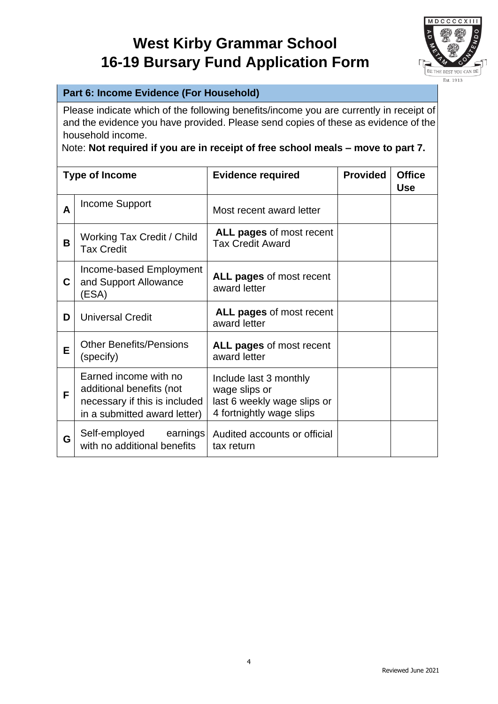

### **Part 6: Income Evidence (For Household)**

Please indicate which of the following benefits/income you are currently in receipt of and the evidence you have provided. Please send copies of these as evidence of the household income.

### Note: **Not required if you are in receipt of free school meals – move to part 7.**

| <b>Type of Income</b> |                                                                                                                    | <b>Evidence required</b>                                                                           | <b>Provided</b> | <b>Office</b><br><b>Use</b> |
|-----------------------|--------------------------------------------------------------------------------------------------------------------|----------------------------------------------------------------------------------------------------|-----------------|-----------------------------|
| A                     | <b>Income Support</b>                                                                                              | Most recent award letter                                                                           |                 |                             |
| В                     | Working Tax Credit / Child<br><b>Tax Credit</b>                                                                    | ALL pages of most recent<br><b>Tax Credit Award</b>                                                |                 |                             |
| C                     | Income-based Employment<br>and Support Allowance<br>(ESA)                                                          | ALL pages of most recent<br>award letter                                                           |                 |                             |
| D                     | <b>Universal Credit</b>                                                                                            | ALL pages of most recent<br>award letter                                                           |                 |                             |
| Е                     | <b>Other Benefits/Pensions</b><br>(specify)                                                                        | ALL pages of most recent<br>award letter                                                           |                 |                             |
| F                     | Earned income with no<br>additional benefits (not<br>necessary if this is included<br>in a submitted award letter) | Include last 3 monthly<br>wage slips or<br>last 6 weekly wage slips or<br>4 fortnightly wage slips |                 |                             |
| G                     | Self-employed<br>earnings<br>with no additional benefits                                                           | Audited accounts or official<br>tax return                                                         |                 |                             |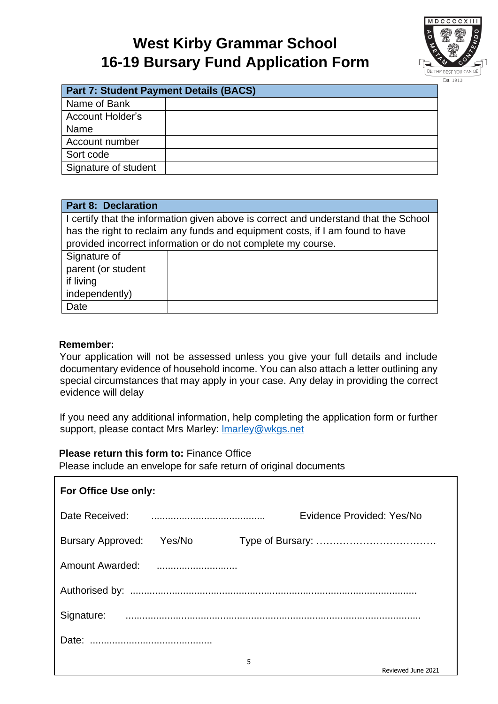

| <b>Part 7: Student Payment Details (BACS)</b> |  |  |  |
|-----------------------------------------------|--|--|--|
| Name of Bank                                  |  |  |  |
| <b>Account Holder's</b>                       |  |  |  |
| Name                                          |  |  |  |
| Account number                                |  |  |  |
| Sort code                                     |  |  |  |
| Signature of student                          |  |  |  |

| <b>Part 8: Declaration</b>                                                           |  |  |  |
|--------------------------------------------------------------------------------------|--|--|--|
| I certify that the information given above is correct and understand that the School |  |  |  |
| has the right to reclaim any funds and equipment costs, if I am found to have        |  |  |  |
| provided incorrect information or do not complete my course.                         |  |  |  |
| Signature of                                                                         |  |  |  |
| parent (or student                                                                   |  |  |  |
| if living                                                                            |  |  |  |
| independently)                                                                       |  |  |  |
| Date                                                                                 |  |  |  |

### **Remember:**

г

Your application will not be assessed unless you give your full details and include documentary evidence of household income. You can also attach a letter outlining any special circumstances that may apply in your case. Any delay in providing the correct evidence will delay

If you need any additional information, help completing the application form or further support, please contact Mrs Marley: **Imarley@wkgs.net** 

#### **Please return this form to:** Finance Office

Please include an envelope for safe return of original documents

| For Office Use only:     |        |   |                           |  |
|--------------------------|--------|---|---------------------------|--|
|                          |        |   | Evidence Provided: Yes/No |  |
| <b>Bursary Approved:</b> | Yes/No |   |                           |  |
|                          |        |   |                           |  |
|                          |        |   |                           |  |
|                          |        |   |                           |  |
|                          |        |   |                           |  |
|                          |        | 5 | Reviewed June 2021        |  |